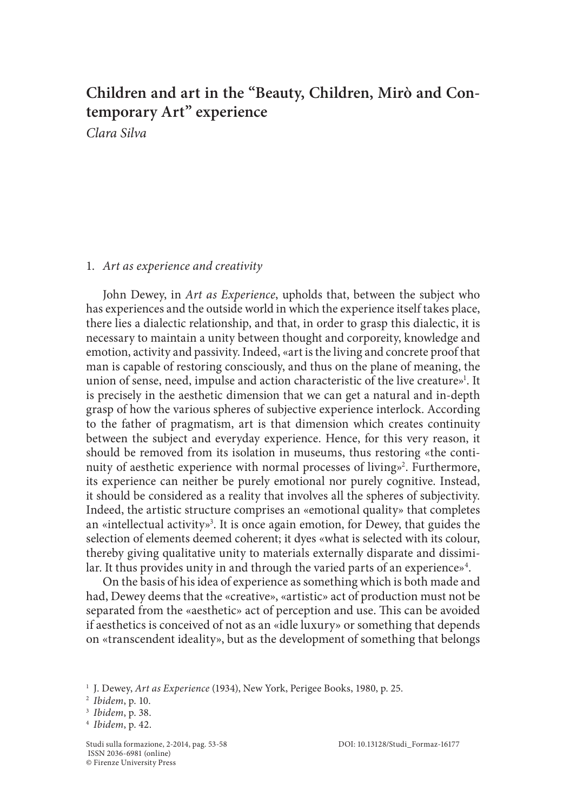# **Children and art in the "Beauty, Children, Mirò and Contemporary Art" experience**

*Clara Silva*

## 1. *Art as experience and creativity*

John Dewey, in *Art as Experience*, upholds that, between the subject who has experiences and the outside world in which the experience itself takes place, there lies a dialectic relationship, and that, in order to grasp this dialectic, it is necessary to maintain a unity between thought and corporeity, knowledge and emotion, activity and passivity. Indeed, «art is the living and concrete proof that man is capable of restoring consciously, and thus on the plane of meaning, the union of sense, need, impulse and action characteristic of the live creature»<sup>1</sup>. It is precisely in the aesthetic dimension that we can get a natural and in-depth grasp of how the various spheres of subjective experience interlock. According to the father of pragmatism, art is that dimension which creates continuity between the subject and everyday experience. Hence, for this very reason, it should be removed from its isolation in museums, thus restoring «the continuity of aesthetic experience with normal processes of living»<sup>2</sup>. Furthermore, its experience can neither be purely emotional nor purely cognitive. Instead, it should be considered as a reality that involves all the spheres of subjectivity. Indeed, the artistic structure comprises an «emotional quality» that completes an «intellectual activity»<sup>3</sup>. It is once again emotion, for Dewey, that guides the selection of elements deemed coherent; it dyes «what is selected with its colour, thereby giving qualitative unity to materials externally disparate and dissimilar. It thus provides unity in and through the varied parts of an experience»<sup>4</sup>.

On the basis of his idea of experience as something which is both made and had, Dewey deems that the «creative», «artistic» act of production must not be separated from the «aesthetic» act of perception and use. This can be avoided if aesthetics is conceived of not as an «idle luxury» or something that depends on «transcendent ideality», but as the development of something that belongs

<sup>1</sup> J. Dewey, *Art as Experience* (1934), New York, Perigee Books, 1980, p. 25.

<sup>2</sup> *Ibidem*, p. 10.

<sup>3</sup> *Ibidem*, p. 38.

<sup>4</sup> *Ibidem*, p. 42.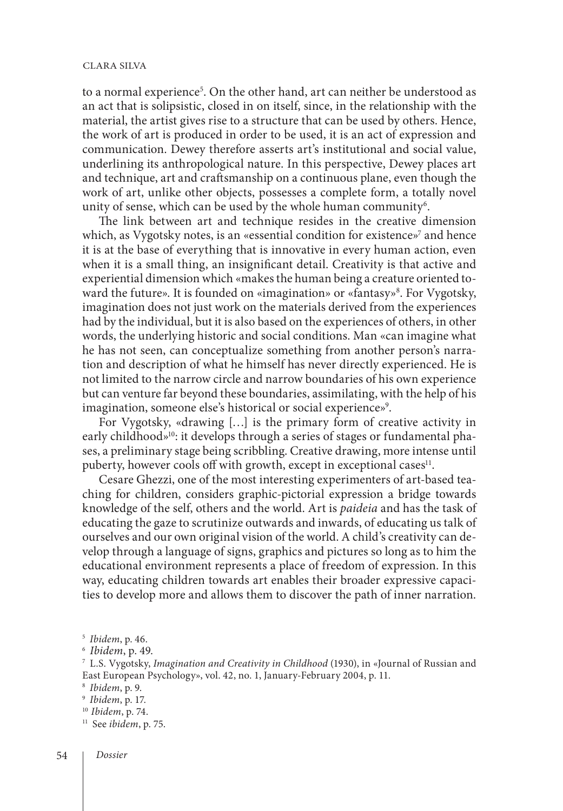#### clara silva

to a normal experience<sup>5</sup>. On the other hand, art can neither be understood as an act that is solipsistic, closed in on itself, since, in the relationship with the material, the artist gives rise to a structure that can be used by others. Hence, the work of art is produced in order to be used, it is an act of expression and communication. Dewey therefore asserts art's institutional and social value, underlining its anthropological nature. In this perspective, Dewey places art and technique, art and craftsmanship on a continuous plane, even though the work of art, unlike other objects, possesses a complete form, a totally novel unity of sense, which can be used by the whole human community $\rm ^6$ .

The link between art and technique resides in the creative dimension which, as Vygotsky notes, is an «essential condition for existence» $^7$  and hence it is at the base of everything that is innovative in every human action, even when it is a small thing, an insignificant detail. Creativity is that active and experiential dimension which «makes the human being a creature oriented toward the future». It is founded on «imagination» or «fantasy»<sup>8</sup>. For Vygotsky, imagination does not just work on the materials derived from the experiences had by the individual, but it is also based on the experiences of others, in other words, the underlying historic and social conditions. Man «can imagine what he has not seen, can conceptualize something from another person's narration and description of what he himself has never directly experienced. He is not limited to the narrow circle and narrow boundaries of his own experience but can venture far beyond these boundaries, assimilating, with the help of his imagination, someone else's historical or social experience»9 .

For Vygotsky, «drawing […] is the primary form of creative activity in early childhood»<sup>10</sup>: it develops through a series of stages or fundamental phases, a preliminary stage being scribbling. Creative drawing, more intense until puberty, however cools off with growth, except in exceptional cases<sup>11</sup>.

Cesare Ghezzi, one of the most interesting experimenters of art-based teaching for children, considers graphic-pictorial expression a bridge towards knowledge of the self, others and the world. Art is *paideia* and has the task of educating the gaze to scrutinize outwards and inwards, of educating us talk of ourselves and our own original vision of the world. A child's creativity can develop through a language of signs, graphics and pictures so long as to him the educational environment represents a place of freedom of expression. In this way, educating children towards art enables their broader expressive capacities to develop more and allows them to discover the path of inner narration.

<sup>5</sup> *Ibidem*, p. 46.

<sup>6</sup> *Ibidem*, p. 49.

<sup>7</sup> L.S. Vygotsky, *Imagination and Creativity in Childhood* (1930), in «Journal of Russian and East European Psychology», vol. 42, no. 1, January-February 2004, p. 11.

<sup>8</sup> *Ibidem*, p. 9.

<sup>9</sup> *Ibidem*, p. 17.

<sup>10</sup> *Ibidem*, p. 74.

<sup>11</sup> See *ibidem*, p. 75.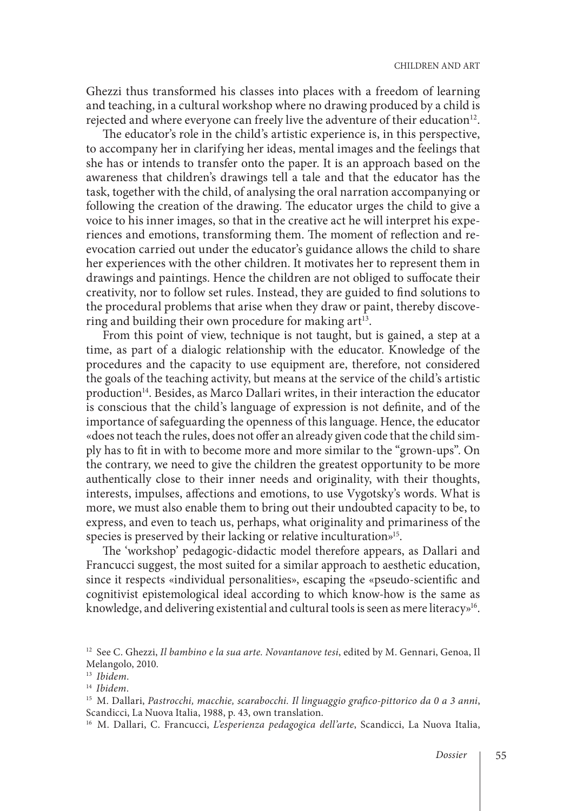Ghezzi thus transformed his classes into places with a freedom of learning and teaching, in a cultural workshop where no drawing produced by a child is rejected and where everyone can freely live the adventure of their education<sup>12</sup>.

The educator's role in the child's artistic experience is, in this perspective, to accompany her in clarifying her ideas, mental images and the feelings that she has or intends to transfer onto the paper. It is an approach based on the awareness that children's drawings tell a tale and that the educator has the task, together with the child, of analysing the oral narration accompanying or following the creation of the drawing. The educator urges the child to give a voice to his inner images, so that in the creative act he will interpret his experiences and emotions, transforming them. The moment of reflection and reevocation carried out under the educator's guidance allows the child to share her experiences with the other children. It motivates her to represent them in drawings and paintings. Hence the children are not obliged to suffocate their creativity, nor to follow set rules. Instead, they are guided to find solutions to the procedural problems that arise when they draw or paint, thereby discovering and building their own procedure for making art<sup>13</sup>.

From this point of view, technique is not taught, but is gained, a step at a time, as part of a dialogic relationship with the educator. Knowledge of the procedures and the capacity to use equipment are, therefore, not considered the goals of the teaching activity, but means at the service of the child's artistic production<sup>14</sup>. Besides, as Marco Dallari writes, in their interaction the educator is conscious that the child's language of expression is not definite, and of the importance of safeguarding the openness of this language. Hence, the educator «does not teach the rules, does not offer an already given code that the child simply has to fit in with to become more and more similar to the "grown-ups". On the contrary, we need to give the children the greatest opportunity to be more authentically close to their inner needs and originality, with their thoughts, interests, impulses, affections and emotions, to use Vygotsky's words. What is more, we must also enable them to bring out their undoubted capacity to be, to express, and even to teach us, perhaps, what originality and primariness of the species is preserved by their lacking or relative inculturation»<sup>15</sup>.

The 'workshop' pedagogic-didactic model therefore appears, as Dallari and Francucci suggest, the most suited for a similar approach to aesthetic education, since it respects «individual personalities», escaping the «pseudo-scientific and cognitivist epistemological ideal according to which know-how is the same as knowledge, and delivering existential and cultural tools is seen as mere literacy»<sup>16</sup>.

<sup>12</sup> See C. Ghezzi, *Il bambino e la sua arte. Novantanove tesi*, edited by M. Gennari, Genoa, Il Melangolo, 2010.

<sup>13</sup> *Ibidem*.

<sup>14</sup> *Ibidem*.

<sup>15</sup> M. Dallari, *Pastrocchi, macchie, scarabocchi. Il linguaggio grafico-pittorico da 0 a 3 anni*, Scandicci, La Nuova Italia, 1988, p. 43, own translation.

<sup>16</sup> M. Dallari, C. Francucci, *L'esperienza pedagogica dell'arte*, Scandicci, La Nuova Italia,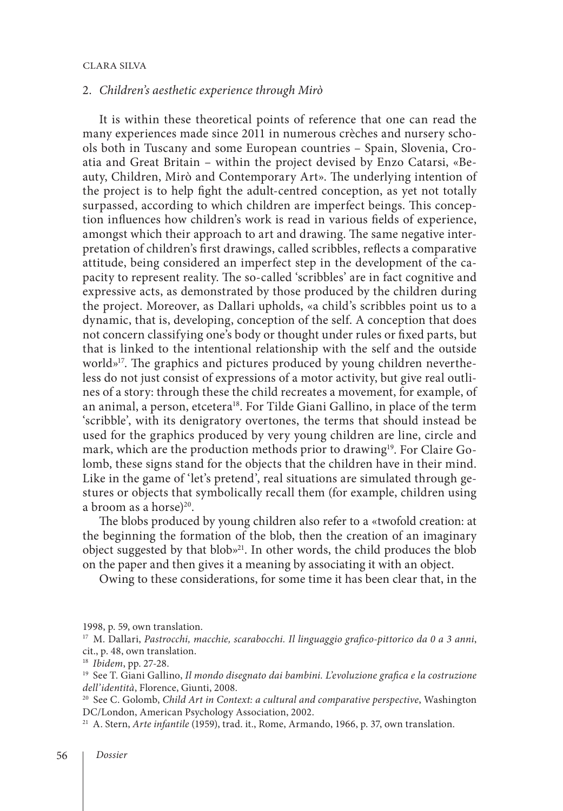# 2. *Children's aesthetic experience through Mirò*

It is within these theoretical points of reference that one can read the many experiences made since 2011 in numerous crèches and nursery schools both in Tuscany and some European countries – Spain, Slovenia, Croatia and Great Britain – within the project devised by Enzo Catarsi, «Beauty, Children, Mirò and Contemporary Art». The underlying intention of the project is to help fight the adult-centred conception, as yet not totally surpassed, according to which children are imperfect beings. This conception influences how children's work is read in various fields of experience, amongst which their approach to art and drawing. The same negative interpretation of children's first drawings, called scribbles, reflects a comparative attitude, being considered an imperfect step in the development of the capacity to represent reality. The so-called 'scribbles' are in fact cognitive and expressive acts, as demonstrated by those produced by the children during the project. Moreover, as Dallari upholds, «a child's scribbles point us to a dynamic, that is, developing, conception of the self. A conception that does not concern classifying one's body or thought under rules or fixed parts, but that is linked to the intentional relationship with the self and the outside world»<sup>17</sup>. The graphics and pictures produced by young children nevertheless do not just consist of expressions of a motor activity, but give real outlines of a story: through these the child recreates a movement, for example, of an animal, a person, etcetera<sup>18</sup>. For Tilde Giani Gallino, in place of the term 'scribble', with its denigratory overtones, the terms that should instead be used for the graphics produced by very young children are line, circle and mark, which are the production methods prior to drawing<sup>19</sup>. For Claire Golomb, these signs stand for the objects that the children have in their mind. Like in the game of 'let's pretend', real situations are simulated through gestures or objects that symbolically recall them (for example, children using a broom as a horse) $^{20}$ .

The blobs produced by young children also refer to a «twofold creation: at the beginning the formation of the blob, then the creation of an imaginary object suggested by that blob»21. In other words, the child produces the blob on the paper and then gives it a meaning by associating it with an object.

Owing to these considerations, for some time it has been clear that, in the

1998, p. 59, own translation.

<sup>17</sup> M. Dallari, *Pastrocchi, macchie, scarabocchi. Il linguaggio grafico-pittorico da 0 a 3 anni*, cit., p. 48, own translation.

<sup>20</sup> See C. Golomb, *Child Art in Context: a cultural and comparative perspective*, Washington DC/London, American Psychology Association, 2002.

<sup>21</sup> A. Stern, *Arte infantile* (1959), trad. it., Rome, Armando, 1966, p. 37, own translation.

<sup>18</sup> *Ibidem*, pp. 27-28.

<sup>19</sup> See T. Giani Gallino, *Il mondo disegnato dai bambini. L'evoluzione grafica e la costruzione dell'identità*, Florence, Giunti, 2008.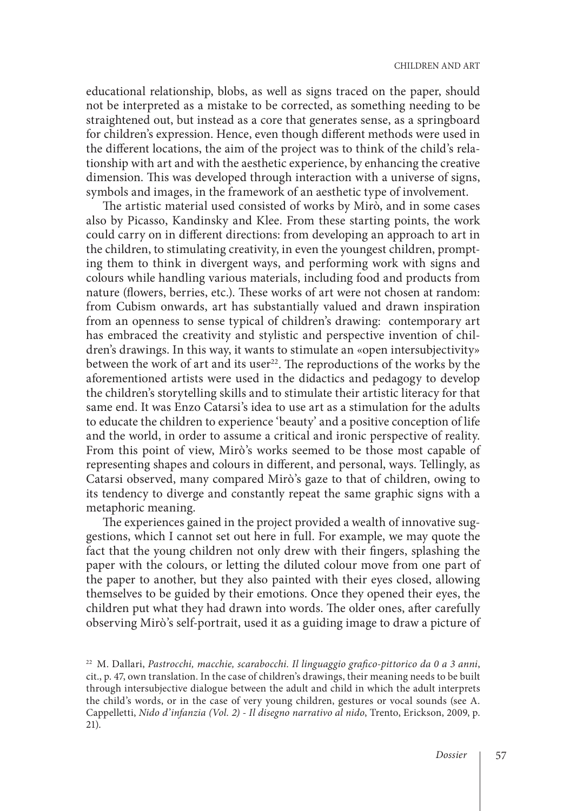educational relationship, blobs, as well as signs traced on the paper, should not be interpreted as a mistake to be corrected, as something needing to be straightened out, but instead as a core that generates sense, as a springboard for children's expression. Hence, even though different methods were used in the different locations, the aim of the project was to think of the child's relationship with art and with the aesthetic experience, by enhancing the creative dimension. This was developed through interaction with a universe of signs, symbols and images, in the framework of an aesthetic type of involvement.

The artistic material used consisted of works by Mirò, and in some cases also by Picasso, Kandinsky and Klee. From these starting points, the work could carry on in different directions: from developing an approach to art in the children, to stimulating creativity, in even the youngest children, prompting them to think in divergent ways, and performing work with signs and colours while handling various materials, including food and products from nature (flowers, berries, etc.). These works of art were not chosen at random: from Cubism onwards, art has substantially valued and drawn inspiration from an openness to sense typical of children's drawing: contemporary art has embraced the creativity and stylistic and perspective invention of children's drawings. In this way, it wants to stimulate an «open intersubjectivity» between the work of art and its user<sup>22</sup>. The reproductions of the works by the aforementioned artists were used in the didactics and pedagogy to develop the children's storytelling skills and to stimulate their artistic literacy for that same end. It was Enzo Catarsi's idea to use art as a stimulation for the adults to educate the children to experience 'beauty' and a positive conception of life and the world, in order to assume a critical and ironic perspective of reality. From this point of view, Mirò's works seemed to be those most capable of representing shapes and colours in different, and personal, ways. Tellingly, as Catarsi observed, many compared Mirò's gaze to that of children, owing to its tendency to diverge and constantly repeat the same graphic signs with a metaphoric meaning.

The experiences gained in the project provided a wealth of innovative suggestions, which I cannot set out here in full. For example, we may quote the fact that the young children not only drew with their fingers, splashing the paper with the colours, or letting the diluted colour move from one part of the paper to another, but they also painted with their eyes closed, allowing themselves to be guided by their emotions. Once they opened their eyes, the children put what they had drawn into words. The older ones, after carefully observing Mirò's self-portrait, used it as a guiding image to draw a picture of

<sup>22</sup> M. Dallari, *Pastrocchi, macchie, scarabocchi. Il linguaggio grafico-pittorico da 0 a 3 anni*, cit., p. 47, own translation. In the case of children's drawings, their meaning needs to be built through intersubjective dialogue between the adult and child in which the adult interprets the child's words, or in the case of very young children, gestures or vocal sounds (see A. Cappelletti, *Nido d'infanzia (Vol. 2) - Il disegno narrativo al nido*, Trento, Erickson, 2009, p. 21).